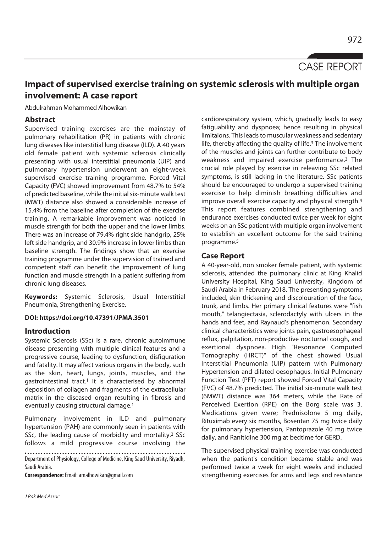CASE REPORT

# **Impact of supervised exercise training on systemic sclerosis with multiple organ involvement: A case report**

Abdulrahman Mohammed Alhowikan

## **Abstract**

Supervised training exercises are the mainstay of pulmonary rehabilitation (PR) in patients with chronic lung diseases like interstitial lung disease (ILD). A 40 years old female patient with systemic sclerosis clinically presenting with usual interstitial pneumonia (UIP) and pulmonary hypertension underwent an eight-week supervised exercise training programme. Forced Vital Capacity (FVC) showed improvement from 48.7% to 54% of predicted baseline, while the initial six-minute walk test (MWT) distance also showed a considerable increase of 15.4% from the baseline after completion of the exercise training. A remarkable improvement was noticed in muscle strength for both the upper and the lower limbs. There was an increase of 79.4% right side handgrip, 25% left side handgrip, and 30.9% increase in lower limbs than baseline strength. The findings show that an exercise training programme under the supervision of trained and competent staff can benefit the improvement of lung function and muscle strength in a patient suffering from chronic lung diseases.

**Keywords:** Systemic Sclerosis, Usual Interstitial Pneumonia, Strengthening Exercise.

#### **DOI: https://doi.org/10.47391/JPMA.3501**

### **Introduction**

Systemic Sclerosis (SSc) is a rare, chronic autoimmune disease presenting with multiple clinical features and a progressive course, leading to dysfunction, disfiguration and fatality. It may affect various organs in the body, such as the skin, heart, lungs, joints, muscles, and the gastrointestinal tract.<sup>1</sup> It is characterised by abnormal deposition of collagen and fragments of the extracellular matrix in the diseased organ resulting in fibrosis and eventually causing structural damage.1

Pulmonary involvement in ILD and pulmonary hypertension (PAH) are commonly seen in patients with SSc, the leading cause of morbidity and mortality.<sup>2</sup> SSc follows a mild progressive course involving the

Department of Physiology, College of Medicine, King Saud University, Riyadh, Saudi Arabia.

**Correspondence:** Email: amalhowikan@gmail.com

J Pak Med Assoc

cardiorespiratory system, which, gradually leads to easy fatiguability and dyspnoea; hence resulting in physical limitaions. This leads to muscular weakness and sedentary life, thereby affecting the quality of life.3 The involvement of the muscles and joints can further contribute to body weakness and impaired exercise performance.3 The crucial role played by exercise in releaving SSc related symptoms, is still lacking in the literature. SSc patients should be encouraged to undergo a supervised training exercise to help diminish breathing difficulties and improve overall exercise capacity and physical strength.4 This report features combined strengthening and endurance exercises conducted twice per week for eight weeks on an SSc patient with multiple organ involvement to establish an excellent outcome for the said training programme.5

## **Case Report**

A 40-year-old, non smoker female patient, with systemic sclerosis, attended the pulmonary clinic at King Khalid University Hospital, King Saud University, Kingdom of Saudi Arabia in February 2018. The presenting symptoms included, skin thickening and discolouration of the face, trunk, and limbs. Her primary clinical features were "fish mouth," telangiectasia, sclerodactyly with ulcers in the hands and feet, and Raynaud's phenomenon. Secondary clinical characteristics were joints pain, gastroesophageal reflux, palpitation, non-productive nocturnal cough, and exertional dyspnoea. High "Resonance Computed Tomography (HRCT)" of the chest showed Usual Interstitial Pneumonia (UIP) pattern with Pulmonary Hypertension and dilated oesophagus. Initial Pulmonary Function Test (PFT) report showed Forced Vital Capacity (FVC) of 48.7% predicted. The initial six-minute walk test (6MWT) distance was 364 meters, while the Rate of Perceived Exertion (RPE) on the Borg scale was 3. Medications given were; Prednisolone 5 mg daily, Rituximab every six months, Bosentan 75 mg twice daily for pulmonary hypertension, Pantoprazole 40 mg twice daily, and Ranitidine 300 mg at bedtime for GERD.

The supervised physical training exercise was conducted when the patient's condition became stable and was performed twice a week for eight weeks and included strengthening exercises for arms and legs and resistance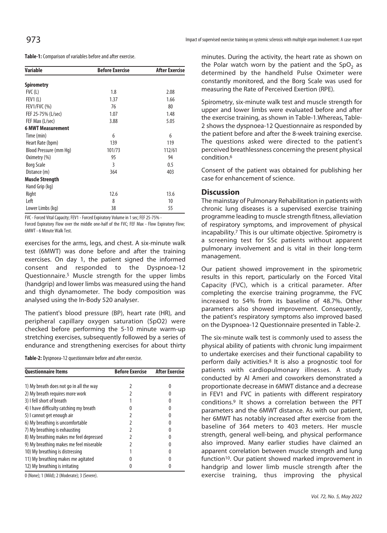| 973 | Impact of supervised exercise training on systemic sclerosis with multiple organ involvement: A case report |
|-----|-------------------------------------------------------------------------------------------------------------|
|-----|-------------------------------------------------------------------------------------------------------------|

**Table-1:** Comparison of variables before and after exercise.

| <b>Variable</b>          | <b>Before Exercise</b> | <b>After Exercise</b> |
|--------------------------|------------------------|-----------------------|
| <b>Spirometry</b>        |                        |                       |
| $FVC$ (L)                | 1.8                    | 2.08                  |
| FEV1(L)                  | 1.37                   | 1.66                  |
| <b>FEV1/FVC (%)</b>      | 76                     | 80                    |
| FEF 25-75% (L/sec)       | 1.07                   | 1.48                  |
| FEF Max (L/sec)          | 3.88                   | 5.05                  |
| <b>6 MWT Measurement</b> |                        |                       |
| Time (min)               | 6                      | 6                     |
| Heart Rate (bpm)         | 139                    | 119                   |
| Blood Pressure (mm Hq)   | 101/73                 | 112/61                |
| Oximetry (%)             | 95                     | 94                    |
| <b>Borg Scale</b>        | 3                      | 0.5                   |
| Distance (m)             | 364                    | 403                   |
| <b>Muscle Strength</b>   |                        |                       |
| Hand Grip (kg)           |                        |                       |
| Right                    | 12.6                   | 13.6                  |
| Left                     | 8                      | 10                    |
| Lower Limbs (kg)         | 38                     | 55                    |

FVC - Forced Vital Capacity; FEV1 - Forced Expiratory Volume in 1 sec; FEF 25-75% -

Forced Expiratory Flow over the middle one-half of the FVC; FEF Max - Flow Expiratory Flow; 6MWT - 6 Minute Walk Test.

exercises for the arms, legs, and chest. A six-minute walk test (6MWT) was done before and after the training exercises. On day 1, the patient signed the informed consent and responded to the Dyspnoea-12 Questionnaire.5 Muscle strength for the upper limbs (handgrip) and lower limbs was measured using the hand and thigh dynamometer. The body composition was analysed using the In-Body 520 analyser.

The patient's blood pressure (BP), heart rate (HR), and peripheral capillary oxygen saturation (SpO2) were checked before performing the 5-10 minute warm-up stretching exercises, subsequently followed by a series of endurance and strengthening exercises for about thirty

**Table-2:** Dyspnoea-12 questionnaire before and after exercise.

| <b>Questionnaire Items</b>              | <b>Before Exercise</b> | <b>After Exercise</b> |
|-----------------------------------------|------------------------|-----------------------|
| 1) My breath does not go in all the way |                        |                       |
| 2) My breath requires more work         |                        |                       |
| 3) I fell short of breath               |                        |                       |
| 4) I have difficulty catching my breath |                        |                       |
| 5) I cannot get enough air              |                        |                       |
| 6) My breathing is uncomfortable        |                        |                       |
| 7) My breathing is exhausting           |                        |                       |
| 8) My breathing makes me feel depressed |                        |                       |
| 9) My breathing makes me feel miserable |                        |                       |
| 10) My breathing is distressing         |                        |                       |
| 11) My breathing makes me agitated      |                        |                       |
| 12) My breathing is irritating          |                        |                       |

0 (None); 1 (Mild); 2 (Moderate); 3 (Severe).

minutes. During the activity, the heart rate as shown on the Polar watch worn by the patient and the  $SpO<sub>2</sub>$  as determined by the handheld Pulse Oximeter were constantly monitored, and the Borg Scale was used for measuring the Rate of Perceived Exertion (RPE).

Spirometry, six-minute walk test and muscle strength for upper and lower limbs were evaluated before and after the exercise training, as shown in Table-1.Whereas, Table-2 shows the dyspnoea-12 Questionnaire as responded by the patient before and after the 8-week training exercise. The questions asked were directed to the patient's perceived breathlessness concerning the present physical condition.6

Consent of the patient was obtained for publishing her case for enhancement of science.

### **Discussion**

The mainstay of Pulmonary Rehabilitation in patients with chronic lung diseases is a supervised exercise training programme leading to muscle strength fitness, alleviation of respiratory symptoms, and improvement of physical incapability.7 This is our ultimate objective. Spirometry is a screening test for SSc patients without apparent pulmonary involvement and is vital in their long-term management.

Our patient showed improvement in the spirometric results in this report, particularly on the Forced Vital Capacity (FVC), which is a critical parameter. After completing the exercise training programme, the FVC increased to 54% from its baseline of 48.7%. Other parameters also showed improvement. Consequently, the patient's respiratory symptoms also improved based on the Dyspnoea-12 Questionnaire presented in Table-2.

The six-minute walk test is commonly used to assess the physical ability of patients with chronic lung impairment to undertake exercises and their functional capability to perform daily activities.8 It is also a prognostic tool for patients with cardiopulmonary illnesses. A study conducted by Al Ameri and coworkers demonstrated a proportionate decrease in 6MWT distance and a decrease in FEV1 and FVC in patients with different respiratory conditions.9 It shows a correlation between the PFT parameters and the 6MWT distance. As with our patient, her 6MWT has notably increased after exercise from the baseline of 364 meters to 403 meters. Her muscle strength, general well-being, and physical performance also improved. Many earlier studies have claimed an apparent correlation between muscle strength and lung function<sup>10</sup>. Our patient showed marked improvement in handgrip and lower limb muscle strength after the exercise training, thus improving the physical